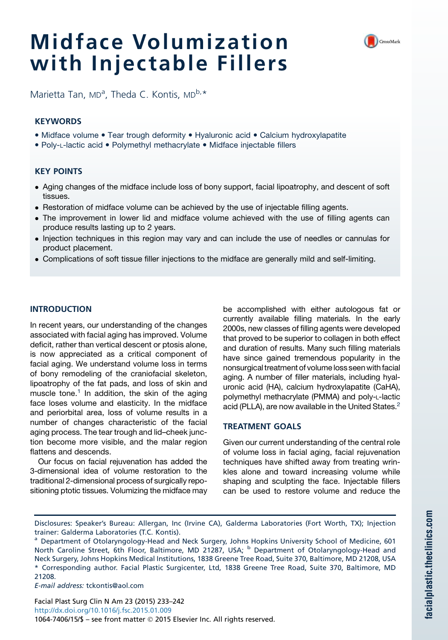# Midface Volumization with Injectable Fillers



Marietta Tan, MD<sup>a</sup>, Theda C, Kontis, MD<sup>b,\*</sup>

# **KEYWORDS**

- Midface volume Tear trough deformity Hyaluronic acid Calcium hydroxylapatite
- Poly-L-lactic acid Polymethyl methacrylate Midface injectable fillers

# KEY POINTS

- Aging changes of the midface include loss of bony support, facial lipoatrophy, and descent of soft tissues.
- Restoration of midface volume can be achieved by the use of injectable filling agents.
- The improvement in lower lid and midface volume achieved with the use of filling agents can produce results lasting up to 2 years.
- Injection techniques in this region may vary and can include the use of needles or cannulas for product placement.
- Complications of soft tissue filler injections to the midface are generally mild and self-limiting.

# INTRODUCTION

In recent years, our understanding of the changes associated with facial aging has improved. Volume deficit, rather than vertical descent or ptosis alone, is now appreciated as a critical component of facial aging. We understand volume loss in terms of bony remodeling of the craniofacial skeleton, lipoatrophy of the fat pads, and loss of skin and muscle tone.<sup>[1](#page-8-0)</sup> In addition, the skin of the aging face loses volume and elasticity. In the midface and periorbital area, loss of volume results in a number of changes characteristic of the facial aging process. The tear trough and lid–cheek junction become more visible, and the malar region flattens and descends.

Our focus on facial rejuvenation has added the 3-dimensional idea of volume restoration to the traditional 2-dimensional process of surgically repositioning ptotic tissues. Volumizing the midface may be accomplished with either autologous fat or currently available filling materials. In the early 2000s, new classes of filling agents were developed that proved to be superior to collagen in both effect and duration of results. Many such filling materials have since gained tremendous popularity in the nonsurgical treatment of volume loss seen with facial aging. A number of filler materials, including hyaluronic acid (HA), calcium hydroxylapatite (CaHA), polymethyl methacrylate (PMMA) and poly-L-lactic acid (PLLA), are now available in the United States.<sup>[2](#page-9-0)</sup>

## TREATMENT GOALS

Given our current understanding of the central role of volume loss in facial aging, facial rejuvenation techniques have shifted away from treating wrinkles alone and toward increasing volume while shaping and sculpting the face. Injectable fillers can be used to restore volume and reduce the

E-mail address: [tckontis@aol.com](mailto:tckontis@aol.com)

Facial Plast Surg Clin N Am 23 (2015) 233–242 <http://dx.doi.org/10.1016/j.fsc.2015.01.009> 1064-7406/15/\$ – see front matter 2015 Elsevier Inc. All rights reserved.

Disclosures: Speaker's Bureau: Allergan, Inc (Irvine CA), Galderma Laboratories (Fort Worth, TX); Injection trainer: Galderma Laboratories (T.C. Kontis).

a Department of Otolaryngology-Head and Neck Surgery, Johns Hopkins University School of Medicine, 601 North Caroline Street, 6th Floor, Baltimore, MD 21287, USA; <sup>b</sup> Department of Otolaryngology-Head and Neck Surgery, Johns Hopkins Medical Institutions, 1838 Greene Tree Road, Suite 370, Baltimore, MD 21208, USA \* Corresponding author. Facial Plastic Surgicenter, Ltd, 1838 Greene Tree Road, Suite 370, Baltimore, MD 21208.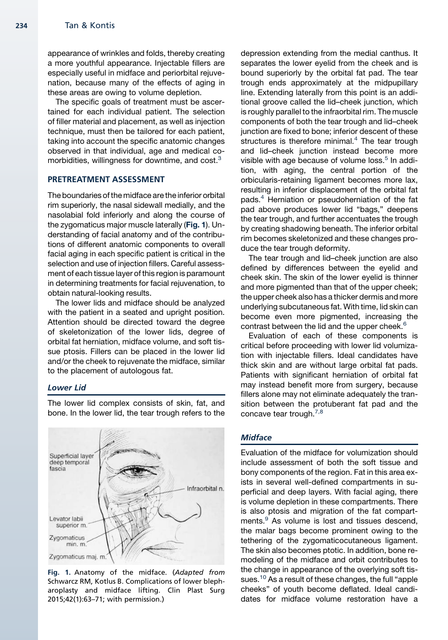appearance of wrinkles and folds, thereby creating a more youthful appearance. Injectable fillers are especially useful in midface and periorbital rejuvenation, because many of the effects of aging in these areas are owing to volume depletion.

The specific goals of treatment must be ascertained for each individual patient. The selection of filler material and placement, as well as injection technique, must then be tailored for each patient, taking into account the specific anatomic changes observed in that individual, age and medical comorbidities, willingness for downtime, and cost. $3$ 

## PRETREATMENT ASSESSMENT

The boundaries of the midface are the inferior orbital rim superiorly, the nasal sidewall medially, and the nasolabial fold inferiorly and along the course of the zygomaticus major muscle laterally (Fig. 1). Understanding of facial anatomy and of the contributions of different anatomic components to overall facial aging in each specific patient is critical in the selection and use of injection fillers. Careful assessment of each tissue layer of this region is paramount in determining treatments for facial rejuvenation, to obtain natural-looking results.

The lower lids and midface should be analyzed with the patient in a seated and upright position. Attention should be directed toward the degree of skeletonization of the lower lids, degree of orbital fat herniation, midface volume, and soft tissue ptosis. Fillers can be placed in the lower lid and/or the cheek to rejuvenate the midface, similar to the placement of autologous fat.

#### Lower Lid

The lower lid complex consists of skin, fat, and bone. In the lower lid, the tear trough refers to the



Fig. 1. Anatomy of the midface. (Adapted from Schwarcz RM, Kotlus B. Complications of lower blepharoplasty and midface lifting. Clin Plast Surg 2015;42(1):63–71; with permission.)

depression extending from the medial canthus. It separates the lower eyelid from the cheek and is bound superiorly by the orbital fat pad. The tear trough ends approximately at the midpupillary line. Extending laterally from this point is an additional groove called the lid–cheek junction, which is roughly parallel to the infraorbital rim. The muscle components of both the tear trough and lid–cheek junction are fixed to bone; inferior descent of these structures is therefore minimal.<sup>[4](#page-9-0)</sup> The tear trough and lid–cheek junction instead become more visible with age because of volume loss.<sup>[5](#page-9-0)</sup> In addition, with aging, the central portion of the orbicularis-retaining ligament becomes more lax, resulting in inferior displacement of the orbital fat pads.[4](#page-9-0) Herniation or pseudoherniation of the fat pad above produces lower lid "bags," deepens the tear trough, and further accentuates the trough by creating shadowing beneath. The inferior orbital rim becomes skeletonized and these changes produce the tear trough deformity.

The tear trough and lid–cheek junction are also defined by differences between the eyelid and cheek skin. The skin of the lower eyelid is thinner and more pigmented than that of the upper cheek; the upper cheek also has a thicker dermis and more underlying subcutaneous fat. With time, lid skin can become even more pigmented, increasing the contrast between the lid and the upper cheek.<sup>[6](#page-9-0)</sup>

Evaluation of each of these components is critical before proceeding with lower lid volumization with injectable fillers. Ideal candidates have thick skin and are without large orbital fat pads. Patients with significant herniation of orbital fat may instead benefit more from surgery, because fillers alone may not eliminate adequately the transition between the protuberant fat pad and the concave tear trough.<sup>[7,8](#page-9-0)</sup>

## **Midface**

Evaluation of the midface for volumization should include assessment of both the soft tissue and bony components of the region. Fat in this area exists in several well-defined compartments in superficial and deep layers. With facial aging, there is volume depletion in these compartments. There is also ptosis and migration of the fat compart-ments.<sup>[9](#page-9-0)</sup> As volume is lost and tissues descend, the malar bags become prominent owing to the tethering of the zygomaticocutaneous ligament. The skin also becomes ptotic. In addition, bone remodeling of the midface and orbit contributes to the change in appearance of the overlying soft tis-sues.<sup>[10](#page-9-0)</sup> As a result of these changes, the full "apple" cheeks" of youth become deflated. Ideal candidates for midface volume restoration have a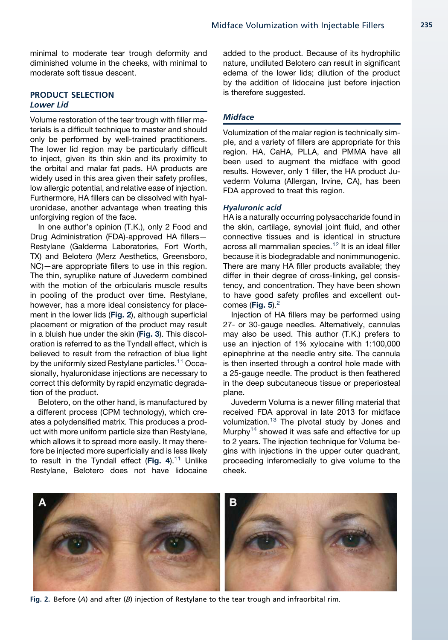minimal to moderate tear trough deformity and diminished volume in the cheeks, with minimal to moderate soft tissue descent.

## PRODUCT SELECTION Lower Lid

Volume restoration of the tear trough with filler materials is a difficult technique to master and should only be performed by well-trained practitioners. The lower lid region may be particularly difficult to inject, given its thin skin and its proximity to the orbital and malar fat pads. HA products are widely used in this area given their safety profiles, low allergic potential, and relative ease of injection. Furthermore, HA fillers can be dissolved with hyaluronidase, another advantage when treating this unforgiving region of the face.

In one author's opinion (T.K.), only 2 Food and Drug Administration (FDA)-approved HA fillers— Restylane (Galderma Laboratories, Fort Worth, TX) and Belotero (Merz Aesthetics, Greensboro, NC)—are appropriate fillers to use in this region. The thin, syruplike nature of Juvederm combined with the motion of the orbicularis muscle results in pooling of the product over time. Restylane, however, has a more ideal consistency for placement in the lower lids (Fig. 2), although superficial placement or migration of the product may result in a bluish hue under the skin ([Fig. 3](#page-3-0)). This discoloration is referred to as the Tyndall effect, which is believed to result from the refraction of blue light by the uniformly sized Restylane particles.<sup>[11](#page-9-0)</sup> Occasionally, hyaluronidase injections are necessary to correct this deformity by rapid enzymatic degradation of the product.

Belotero, on the other hand, is manufactured by a different process (CPM technology), which creates a polydensified matrix. This produces a product with more uniform particle size than Restylane, which allows it to spread more easily. It may therefore be injected more superficially and is less likely to result in the Tyndall effect ([Fig. 4](#page-3-0)).<sup>[11](#page-9-0)</sup> Unlike Restylane, Belotero does not have lidocaine added to the product. Because of its hydrophilic nature, undiluted Belotero can result in significant edema of the lower lids; dilution of the product by the addition of lidocaine just before injection is therefore suggested.

### **Midface**

Volumization of the malar region is technically simple, and a variety of fillers are appropriate for this region. HA, CaHA, PLLA, and PMMA have all been used to augment the midface with good results. However, only 1 filler, the HA product Juvederm Voluma (Allergan, Irvine, CA), has been FDA approved to treat this region.

## Hyaluronic acid

HA is a naturally occurring polysaccharide found in the skin, cartilage, synovial joint fluid, and other connective tissues and is identical in structure across all mammalian species. $12$  It is an ideal filler because it is biodegradable and nonimmunogenic. There are many HA filler products available; they differ in their degree of cross-linking, gel consistency, and concentration. They have been shown to have good safety profiles and excellent outcomes (Fig.  $5$ ). $<sup>2</sup>$  $<sup>2</sup>$  $<sup>2</sup>$ </sup>

Injection of HA fillers may be performed using 27- or 30-gauge needles. Alternatively, cannulas may also be used. This author (T.K.) prefers to use an injection of 1% xylocaine with 1:100,000 epinephrine at the needle entry site. The cannula is then inserted through a control hole made with a 25-gauge needle. The product is then feathered in the deep subcutaneous tissue or preperiosteal plane.

Juvederm Voluma is a newer filling material that received FDA approval in late 2013 for midface volumization.[13](#page-9-0) The pivotal study by Jones and Murphy<sup>[14](#page-9-0)</sup> showed it was safe and effective for up to 2 years. The injection technique for Voluma begins with injections in the upper outer quadrant, proceeding inferomedially to give volume to the cheek.



Fig. 2. Before (A) and after (B) injection of Restylane to the tear trough and infraorbital rim.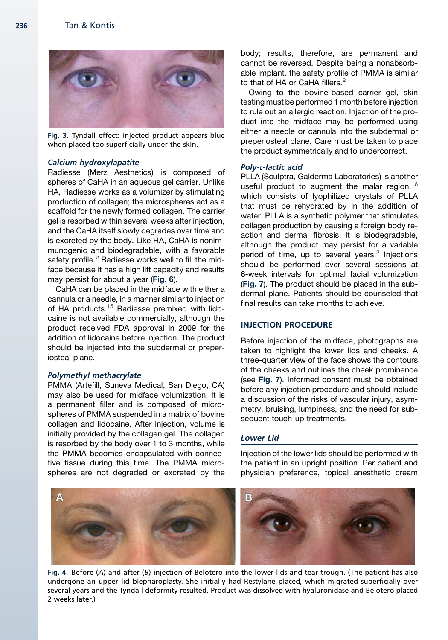<span id="page-3-0"></span>

Fig. 3. Tyndall effect: injected product appears blue when placed too superficially under the skin.

## Calcium hydroxylapatite

Radiesse (Merz Aesthetics) is composed of spheres of CaHA in an aqueous gel carrier. Unlike HA, Radiesse works as a volumizer by stimulating production of collagen; the microspheres act as a scaffold for the newly formed collagen. The carrier gel is resorbed within several weeks after injection, and the CaHA itself slowly degrades over time and is excreted by the body. Like HA, CaHA is nonimmunogenic and biodegradable, with a favorable safety profile. $2$  Radiesse works well to fill the midface because it has a high lift capacity and results may persist for about a year ([Fig. 6](#page-4-0)).

CaHA can be placed in the midface with either a cannula or a needle, in a manner similar to injection of HA products.<sup>[15](#page-9-0)</sup> Radiesse premixed with lidocaine is not available commercially, although the product received FDA approval in 2009 for the addition of lidocaine before injection. The product should be injected into the subdermal or preperiosteal plane.

#### Polymethyl methacrylate

PMMA (Artefill, Suneva Medical, San Diego, CA) may also be used for midface volumization. It is a permanent filler and is composed of microspheres of PMMA suspended in a matrix of bovine collagen and lidocaine. After injection, volume is initially provided by the collagen gel. The collagen is resorbed by the body over 1 to 3 months, while the PMMA becomes encapsulated with connective tissue during this time. The PMMA microspheres are not degraded or excreted by the

body; results, therefore, are permanent and cannot be reversed. Despite being a nonabsorbable implant, the safety profile of PMMA is similar to that of HA or CaHA fillers.<sup>[2](#page-9-0)</sup>

Owing to the bovine-based carrier gel, skin testing must be performed 1 month before injection to rule out an allergic reaction. Injection of the product into the midface may be performed using either a needle or cannula into the subdermal or preperiosteal plane. Care must be taken to place the product symmetrically and to undercorrect.

## Poly-L-lactic acid

PLLA (Sculptra, Galderma Laboratories) is another useful product to augment the malar region,  $16$ which consists of lyophilized crystals of PLLA that must be rehydrated by in the addition of water. PLLA is a synthetic polymer that stimulates collagen production by causing a foreign body reaction and dermal fibrosis. It is biodegradable, although the product may persist for a variable period of time, up to several years. $2$  Injections should be performed over several sessions at 6-week intervals for optimal facial volumization ([Fig. 7](#page-5-0)). The product should be placed in the sub-dermal plane. Patients should be counseled that final results can take months to achieve.

## INJECTION PROCEDURE

Before injection of the midface, photographs are taken to highlight the lower lids and cheeks. A three-quarter view of the face shows the contours of the cheeks and outlines the cheek prominence (see [Fig. 7](#page-5-0)). Informed consent must be obtained before any injection procedure and should include a discussion of the risks of vascular injury, asymmetry, bruising, lumpiness, and the need for subsequent touch-up treatments.

#### Lower Lid

Injection of the lower lids should be performed with the patient in an upright position. Per patient and physician preference, topical anesthetic cream



Fig. 4. Before (A) and after (B) injection of Belotero into the lower lids and tear trough. (The patient has also undergone an upper lid blepharoplasty. She initially had Restylane placed, which migrated superficially over several years and the Tyndall deformity resulted. Product was dissolved with hyaluronidase and Belotero placed 2 weeks later.)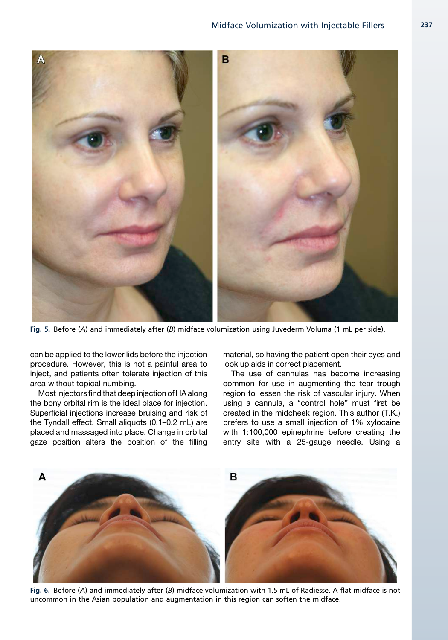<span id="page-4-0"></span>

Fig. 5. Before (A) and immediately after (B) midface volumization using Juvederm Voluma (1 mL per side).

can be applied to the lower lids before the injection procedure. However, this is not a painful area to inject, and patients often tolerate injection of this area without topical numbing.

Most injectors find that deep injection of HA along the bony orbital rim is the ideal place for injection. Superficial injections increase bruising and risk of the Tyndall effect. Small aliquots (0.1–0.2 mL) are placed and massaged into place. Change in orbital gaze position alters the position of the filling material, so having the patient open their eyes and look up aids in correct placement.

The use of cannulas has become increasing common for use in augmenting the tear trough region to lessen the risk of vascular injury. When using a cannula, a "control hole" must first be created in the midcheek region. This author (T.K.) prefers to use a small injection of 1% xylocaine with 1:100,000 epinephrine before creating the entry site with a 25-gauge needle. Using a



Fig. 6. Before (A) and immediately after (B) midface volumization with 1.5 mL of Radiesse. A flat midface is not uncommon in the Asian population and augmentation in this region can soften the midface.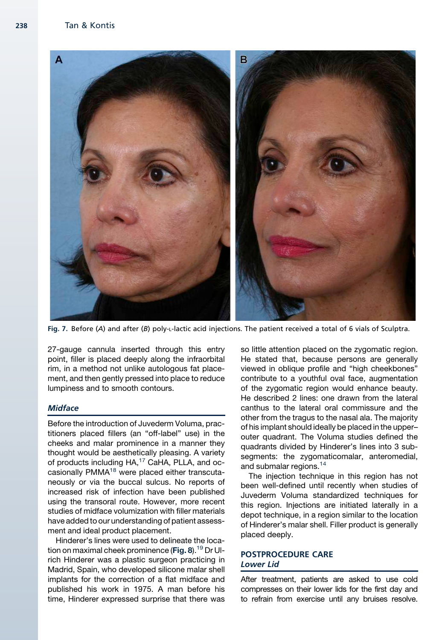<span id="page-5-0"></span>

Fig. 7. Before (A) and after (B) poly-L-lactic acid injections. The patient received a total of 6 vials of Sculptra.

27-gauge cannula inserted through this entry point, filler is placed deeply along the infraorbital rim, in a method not unlike autologous fat placement, and then gently pressed into place to reduce lumpiness and to smooth contours.

### **Midface**

Before the introduction of Juvederm Voluma, practitioners placed fillers (an "off-label" use) in the cheeks and malar prominence in a manner they thought would be aesthetically pleasing. A variety of products including HA,[17](#page-9-0) CaHA, PLLA, and oc-casionally PMMA<sup>[18](#page-9-0)</sup> were placed either transcutaneously or via the buccal sulcus. No reports of increased risk of infection have been published using the transoral route. However, more recent studies of midface volumization with filler materials have added to our understanding of patient assessment and ideal product placement.

Hinderer's lines were used to delineate the loca-tion on maximal cheek prominence ([Fig. 8](#page-6-0)). $19$  Dr Ulrich Hinderer was a plastic surgeon practicing in Madrid, Spain, who developed silicone malar shell implants for the correction of a flat midface and published his work in 1975. A man before his time, Hinderer expressed surprise that there was

so little attention placed on the zygomatic region. He stated that, because persons are generally viewed in oblique profile and "high cheekbones" contribute to a youthful oval face, augmentation of the zygomatic region would enhance beauty. He described 2 lines: one drawn from the lateral canthus to the lateral oral commissure and the other from the tragus to the nasal ala. The majority of his implant should ideally be placed in the upper– outer quadrant. The Voluma studies defined the quadrants divided by Hinderer's lines into 3 subsegments: the zygomaticomalar, anteromedial, and submalar regions.<sup>[14](#page-9-0)</sup>

The injection technique in this region has not been well-defined until recently when studies of Juvederm Voluma standardized techniques for this region. Injections are initiated laterally in a depot technique, in a region similar to the location of Hinderer's malar shell. Filler product is generally placed deeply.

# POSTPROCEDURE CARE Lower Lid

After treatment, patients are asked to use cold compresses on their lower lids for the first day and to refrain from exercise until any bruises resolve.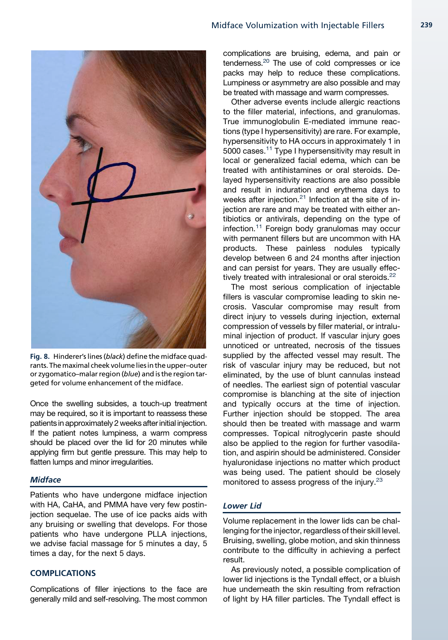<span id="page-6-0"></span>

Fig. 8. Hinderer's lines (black) define the midface quadrants. The maximal cheek volume liesin the upper–outer or zygomatico–malar region (blue) and is the region targeted for volume enhancement of the midface.

Once the swelling subsides, a touch-up treatment may be required, so it is important to reassess these patients in approximately 2 weeks after initial injection. If the patient notes lumpiness, a warm compress should be placed over the lid for 20 minutes while applying firm but gentle pressure. This may help to flatten lumps and minor irregularities.

#### **Midface**

Patients who have undergone midface injection with HA, CaHA, and PMMA have very few postinjection sequelae. The use of ice packs aids with any bruising or swelling that develops. For those patients who have undergone PLLA injections, we advise facial massage for 5 minutes a day, 5 times a day, for the next 5 days.

# **COMPLICATIONS**

Complications of filler injections to the face are generally mild and self-resolving. The most common complications are bruising, edema, and pain or tenderness[.20](#page-9-0) The use of cold compresses or ice packs may help to reduce these complications. Lumpiness or asymmetry are also possible and may be treated with massage and warm compresses.

Other adverse events include allergic reactions to the filler material, infections, and granulomas. True immunoglobulin E-mediated immune reactions (type I hypersensitivity) are rare. For example, hypersensitivity to HA occurs in approximately 1 in 5000 cases.<sup>[11](#page-9-0)</sup> Type I hypersensitivity may result in local or generalized facial edema, which can be treated with antihistamines or oral steroids. Delayed hypersensitivity reactions are also possible and result in induration and erythema days to weeks after injection.<sup>[21](#page-9-0)</sup> Infection at the site of injection are rare and may be treated with either antibiotics or antivirals, depending on the type of infection.<sup>[11](#page-9-0)</sup> Foreign body granulomas may occur with permanent fillers but are uncommon with HA products. These painless nodules typically develop between 6 and 24 months after injection and can persist for years. They are usually effec-tively treated with intralesional or oral steroids.<sup>[22](#page-9-0)</sup>

The most serious complication of injectable fillers is vascular compromise leading to skin necrosis. Vascular compromise may result from direct injury to vessels during injection, external compression of vessels by filler material, or intraluminal injection of product. If vascular injury goes unnoticed or untreated, necrosis of the tissues supplied by the affected vessel may result. The risk of vascular injury may be reduced, but not eliminated, by the use of blunt cannulas instead of needles. The earliest sign of potential vascular compromise is blanching at the site of injection and typically occurs at the time of injection. Further injection should be stopped. The area should then be treated with massage and warm compresses. Topical nitroglycerin paste should also be applied to the region for further vasodilation, and aspirin should be administered. Consider hyaluronidase injections no matter which product was being used. The patient should be closely monitored to assess progress of the injury. $^{23}$  $^{23}$  $^{23}$ 

## Lower Lid

Volume replacement in the lower lids can be challenging for the injector, regardless of their skill level. Bruising, swelling, globe motion, and skin thinness contribute to the difficulty in achieving a perfect result.

As previously noted, a possible complication of lower lid injections is the Tyndall effect, or a bluish hue underneath the skin resulting from refraction of light by HA filler particles. The Tyndall effect is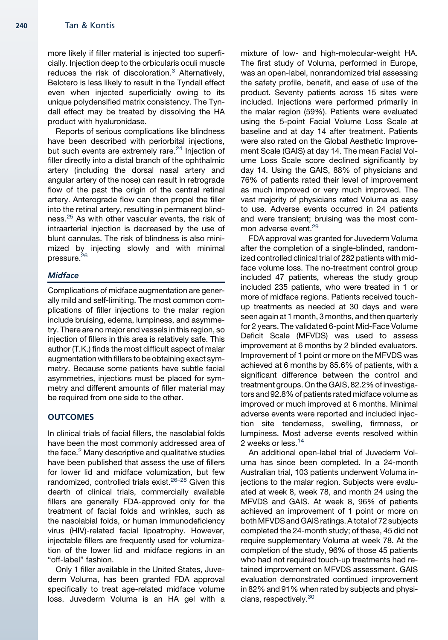more likely if filler material is injected too superficially. Injection deep to the orbicularis oculi muscle reduces the risk of discoloration. $3$  Alternatively, Belotero is less likely to result in the Tyndall effect even when injected superficially owing to its unique polydensified matrix consistency. The Tyndall effect may be treated by dissolving the HA product with hyaluronidase.

Reports of serious complications like blindness have been described with periorbital injections, but such events are extremely rare. $24$  Injection of filler directly into a distal branch of the ophthalmic artery (including the dorsal nasal artery and angular artery of the nose) can result in retrograde flow of the past the origin of the central retinal artery. Anterograde flow can then propel the filler into the retinal artery, resulting in permanent blind-ness.<sup>[25](#page-9-0)</sup> As with other vascular events, the risk of intraarterial injection is decreased by the use of blunt cannulas. The risk of blindness is also minimized by injecting slowly and with minimal pressure.<sup>[26](#page-9-0)</sup>

#### **Midface**

Complications of midface augmentation are generally mild and self-limiting. The most common complications of filler injections to the malar region include bruising, edema, lumpiness, and asymmetry. There are no major end vessels in this region, so injection of fillers in this area is relatively safe. This author (T.K.) finds the most difficult aspect of malar augmentation with fillers to be obtaining exact symmetry. Because some patients have subtle facial asymmetries, injections must be placed for symmetry and different amounts of filler material may be required from one side to the other.

## **OUTCOMES**

In clinical trials of facial fillers, the nasolabial folds have been the most commonly addressed area of the face. $2$  Many descriptive and qualitative studies have been published that assess the use of fillers for lower lid and midface volumization, but few randomized, controlled trials exist.<sup>26-28</sup> Given this dearth of clinical trials, commercially available fillers are generally FDA-approved only for the treatment of facial folds and wrinkles, such as the nasolabial folds, or human immunodeficiency virus (HIV)-related facial lipoatrophy. However, injectable fillers are frequently used for volumization of the lower lid and midface regions in an "off-label" fashion.

Only 1 filler available in the United States, Juvederm Voluma, has been granted FDA approval specifically to treat age-related midface volume loss. Juvederm Voluma is an HA gel with a mixture of low- and high-molecular-weight HA. The first study of Voluma, performed in Europe, was an open-label, nonrandomized trial assessing the safety profile, benefit, and ease of use of the product. Seventy patients across 15 sites were included. Injections were performed primarily in the malar region (59%). Patients were evaluated using the 5-point Facial Volume Loss Scale at baseline and at day 14 after treatment. Patients were also rated on the Global Aesthetic Improvement Scale (GAIS) at day 14. The mean Facial Volume Loss Scale score declined significantly by day 14. Using the GAIS, 88% of physicians and 76% of patients rated their level of improvement as much improved or very much improved. The vast majority of physicians rated Voluma as easy to use. Adverse events occurred in 24 patients and were transient; bruising was the most com-mon adverse event.<sup>[29](#page-9-0)</sup>

FDA approval was granted for Juvederm Voluma after the completion of a single-blinded, randomized controlled clinical trial of 282 patients with midface volume loss. The no-treatment control group included 47 patients, whereas the study group included 235 patients, who were treated in 1 or more of midface regions. Patients received touchup treatments as needed at 30 days and were seen again at 1 month, 3 months, and then quarterly for 2 years. The validated 6-point Mid-Face Volume Deficit Scale (MFVDS) was used to assess improvement at 6 months by 2 blinded evaluators. Improvement of 1 point or more on the MFVDS was achieved at 6 months by 85.6% of patients, with a significant difference between the control and treatment groups. On the GAIS, 82.2% of investigators and 92.8% of patients rated midface volume as improved or much improved at 6 months. Minimal adverse events were reported and included injection site tenderness, swelling, firmness, or lumpiness. Most adverse events resolved within 2 weeks or less.<sup>[14](#page-9-0)</sup>

An additional open-label trial of Juvederm Voluma has since been completed. In a 24-month Australian trial, 103 patients underwent Voluma injections to the malar region. Subjects were evaluated at week 8, week 78, and month 24 using the MFVDS and GAIS. At week 8, 96% of patients achieved an improvement of 1 point or more on both MFVDS and GAIS ratings. A total of 72 subjects completed the 24-month study; of these, 45 did not require supplementary Voluma at week 78. At the completion of the study, 96% of those 45 patients who had not required touch-up treatments had retained improvement on MFVDS assessment. GAIS evaluation demonstrated continued improvement in 82% and 91% when rated by subjects and physicians, respectively.<sup>30</sup>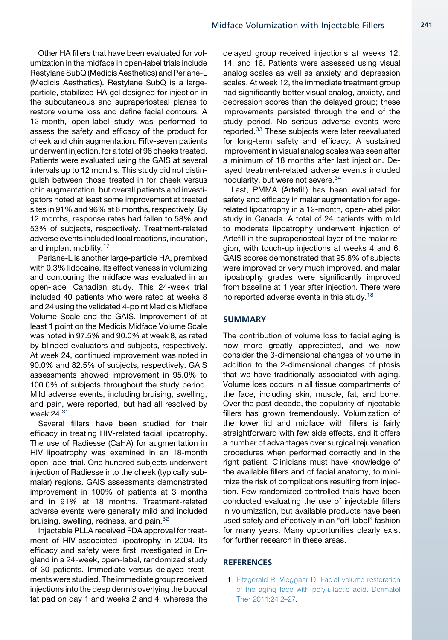<span id="page-8-0"></span>Other HA fillers that have been evaluated for volumization in the midface in open-label trials include Restylane SubQ (Medicis Aesthetics) and Perlane-L (Medicis Aesthetics). Restylane SubQ is a largeparticle, stabilized HA gel designed for injection in the subcutaneous and supraperiosteal planes to restore volume loss and define facial contours. A 12-month, open-label study was performed to assess the safety and efficacy of the product for cheek and chin augmentation. Fifty-seven patients underwent injection, for a total of 98 cheeks treated. Patients were evaluated using the GAIS at several intervals up to 12 months. This study did not distinguish between those treated in for cheek versus chin augmentation, but overall patients and investigators noted at least some improvement at treated sites in 91% and 96% at 6 months, respectively. By 12 months, response rates had fallen to 58% and 53% of subjects, respectively. Treatment-related adverse events included local reactions, induration, and implant mobility.<sup>[17](#page-9-0)</sup>

Perlane-L is another large-particle HA, premixed with 0.3% lidocaine. Its effectiveness in volumizing and contouring the midface was evaluated in an open-label Canadian study. This 24-week trial included 40 patients who were rated at weeks 8 and 24 using the validated 4-point Medicis Midface Volume Scale and the GAIS. Improvement of at least 1 point on the Medicis Midface Volume Scale was noted in 97.5% and 90.0% at week 8, as rated by blinded evaluators and subjects, respectively. At week 24, continued improvement was noted in 90.0% and 82.5% of subjects, respectively. GAIS assessments showed improvement in 95.0% to 100.0% of subjects throughout the study period. Mild adverse events, including bruising, swelling, and pain, were reported, but had all resolved by week 24.[31](#page-9-0)

Several fillers have been studied for their efficacy in treating HIV-related facial lipoatrophy. The use of Radiesse (CaHA) for augmentation in HIV lipoatrophy was examined in an 18-month open-label trial. One hundred subjects underwent injection of Radiesse into the cheek (typically submalar) regions. GAIS assessments demonstrated improvement in 100% of patients at 3 months and in 91% at 18 months. Treatment-related adverse events were generally mild and included bruising, swelling, redness, and pain.<sup>[32](#page-9-0)</sup>

Injectable PLLA received FDA approval for treatment of HIV-associated lipoatrophy in 2004. Its efficacy and safety were first investigated in England in a 24-week, open-label, randomized study of 30 patients. Immediate versus delayed treatments were studied. The immediate group received injections into the deep dermis overlying the buccal fat pad on day 1 and weeks 2 and 4, whereas the delayed group received injections at weeks 12, 14, and 16. Patients were assessed using visual analog scales as well as anxiety and depression scales. At week 12, the immediate treatment group had significantly better visual analog, anxiety, and depression scores than the delayed group; these improvements persisted through the end of the study period. No serious adverse events were reported.[33](#page-9-0) These subjects were later reevaluated for long-term safety and efficacy. A sustained improvement in visual analog scales was seen after a minimum of 18 months after last injection. Delayed treatment-related adverse events included nodularity, but were not severe.<sup>[34](#page-9-0)</sup>

Last, PMMA (Artefill) has been evaluated for safety and efficacy in malar augmentation for agerelated lipoatrophy in a 12-month, open-label pilot study in Canada. A total of 24 patients with mild to moderate lipoatrophy underwent injection of Artefill in the supraperiosteal layer of the malar region, with touch-up injections at weeks 4 and 6. GAIS scores demonstrated that 95.8% of subjects were improved or very much improved, and malar lipoatrophy grades were significantly improved from baseline at 1 year after injection. There were no reported adverse events in this study.<sup>[18](#page-9-0)</sup>

### SUMMARY

The contribution of volume loss to facial aging is now more greatly appreciated, and we now consider the 3-dimensional changes of volume in addition to the 2-dimensional changes of ptosis that we have traditionally associated with aging. Volume loss occurs in all tissue compartments of the face, including skin, muscle, fat, and bone. Over the past decade, the popularity of injectable fillers has grown tremendously. Volumization of the lower lid and midface with fillers is fairly straightforward with few side effects, and it offers a number of advantages over surgical rejuvenation procedures when performed correctly and in the right patient. Clinicians must have knowledge of the available fillers and of facial anatomy, to minimize the risk of complications resulting from injection. Few randomized controlled trials have been conducted evaluating the use of injectable fillers in volumization, but available products have been used safely and effectively in an "off-label" fashion for many years. Many opportunities clearly exist for further research in these areas.

#### **REFERENCES**

1. [Fitzgerald R, Vleggaar D. Facial volume restoration](http://refhub.elsevier.com/S1064-7406(15)00010-3/sref1) [of the aging face with poly-L-lactic acid. Dermatol](http://refhub.elsevier.com/S1064-7406(15)00010-3/sref1) [Ther 2011;24:2–27](http://refhub.elsevier.com/S1064-7406(15)00010-3/sref1).